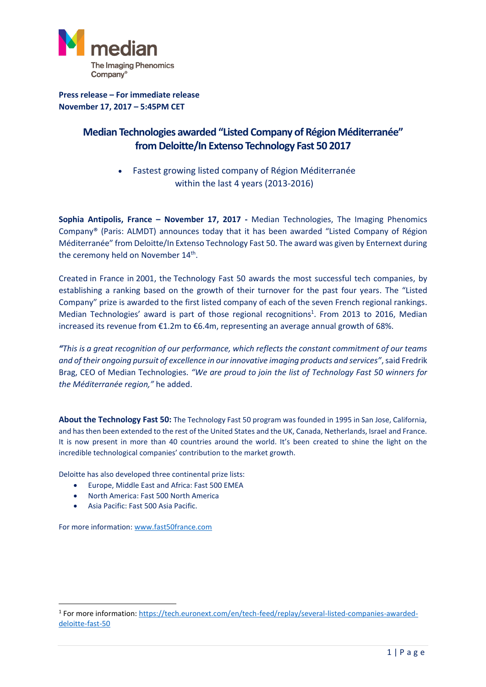

**Press release – For immediate release November 17, 2017 – 5:45PM CET**

## **Median Technologies awarded "Listed Company of Région Méditerranée" from Deloitte/In Extenso Technology Fast 50 2017**

• Fastest growing listed company of Région Méditerranée within the last 4 years (2013-2016)

**Sophia Antipolis, France – November 17, 2017 -** Median Technologies, The Imaging Phenomics Company® (Paris: ALMDT) announces today that it has been awarded "Listed Company of Région Méditerranée" from Deloitte/In Extenso Technology Fast 50. The award was given by Enternext during the ceremony held on November 14<sup>th</sup>.

Created in France in 2001, the Technology Fast 50 awards the most successful tech companies, by establishing a ranking based on the growth of their turnover for the past four years. The "Listed Company" prize is awarded to the first listed company of each of the seven French regional rankings. Median Technologies' award is part of those regional recognitions<sup>1</sup>. From 2013 to 2016, Median increased its revenue from €1.2m to €6.4m, representing an average annual growth of 68%.

*"This is a great recognition of our performance, which reflects the constant commitment of our teams and of their ongoing pursuit of excellence in our innovative imaging products and services"*, said Fredrik Brag, CEO of Median Technologies. *"We are proud to join the list of Technology Fast 50 winners for the Méditerranée region,"* he added.

**About the Technology Fast 50:** The Technology Fast 50 program was founded in 1995 in San Jose, California, and has then been extended to the rest of the United States and the UK, Canada, Netherlands, Israel and France. It is now present in more than 40 countries around the world. It's been created to shine the light on the incredible technological companies' contribution to the market growth.

Deloitte has also developed three continental prize lists:

- Europe, Middle East and Africa: Fast 500 EMEA
- North America: Fast 500 North America
- Asia Pacific: Fast 500 Asia Pacific.

For more information: [www.fast50france.com](http://www.fast50france.com/)

1

<sup>&</sup>lt;sup>1</sup> For more information: [https://tech.euronext.com/en/tech-feed/replay/several-listed-companies-awarded](https://tech.euronext.com/en/tech-feed/replay/several-listed-companies-awarded-deloitte-fast-50)[deloitte-fast-50](https://tech.euronext.com/en/tech-feed/replay/several-listed-companies-awarded-deloitte-fast-50)